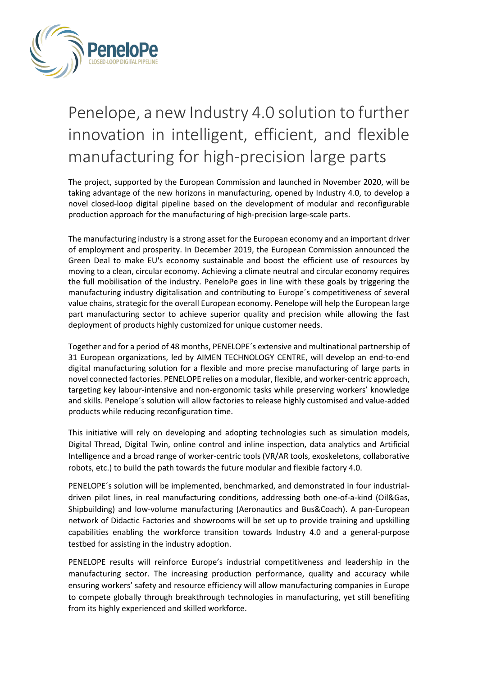

## Penelope, a new Industry 4.0 solution to further innovation in intelligent, efficient, and flexible manufacturing for high-precision large parts

The project, supported by the European Commission and launched in November 2020, will be taking advantage of the new horizons in manufacturing, opened by Industry 4.0, to develop a novel closed-loop digital pipeline based on the development of modular and reconfigurable production approach for the manufacturing of high-precision large-scale parts.

The manufacturing industry is a strong asset for the European economy and an important driver of employment and prosperity. In December 2019, the European Commission announced the Green Deal to make EU's economy sustainable and boost the efficient use of resources by moving to a clean, circular economy. Achieving a climate neutral and circular economy requires the full mobilisation of the industry. PeneloPe goes in line with these goals by triggering the manufacturing industry digitalisation and contributing to Europe´s competitiveness of several value chains, strategic for the overall European economy. Penelope will help the European large part manufacturing sector to achieve superior quality and precision while allowing the fast deployment of products highly customized for unique customer needs.

Together and for a period of 48 months, PENELOPE´s extensive and multinational partnership of 31 European organizations, led by AIMEN TECHNOLOGY CENTRE, will develop an end-to-end digital manufacturing solution for a flexible and more precise manufacturing of large parts in novel connected factories. PENELOPE relies on a modular, flexible, and worker-centric approach, targeting key labour-intensive and non-ergonomic tasks while preserving workers' knowledge and skills. Penelope´s solution will allow factories to release highly customised and value-added products while reducing reconfiguration time.

This initiative will rely on developing and adopting technologies such as simulation models, Digital Thread, Digital Twin, online control and inline inspection, data analytics and Artificial Intelligence and a broad range of worker-centric tools (VR/AR tools, exoskeletons, collaborative robots, etc.) to build the path towards the future modular and flexible factory 4.0.

PENELOPE´s solution will be implemented, benchmarked, and demonstrated in four industrialdriven pilot lines, in real manufacturing conditions, addressing both one-of-a-kind (Oil&Gas, Shipbuilding) and low-volume manufacturing (Aeronautics and Bus&Coach). A pan-European network of Didactic Factories and showrooms will be set up to provide training and upskilling capabilities enabling the workforce transition towards Industry 4.0 and a general-purpose testbed for assisting in the industry adoption.

PENELOPE results will reinforce Europe's industrial competitiveness and leadership in the manufacturing sector. The increasing production performance, quality and accuracy while ensuring workers' safety and resource efficiency will allow manufacturing companies in Europe to compete globally through breakthrough technologies in manufacturing, yet still benefiting from its highly experienced and skilled workforce.